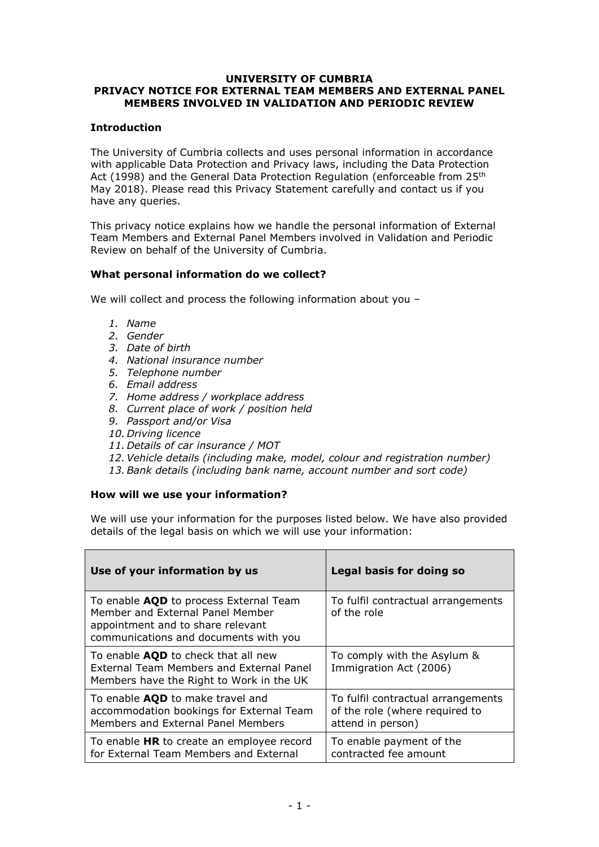#### **UNIVERSITY OF CUMBRIA PRIVACY NOTICE FOR EXTERNAL TEAM MEMBERS AND EXTERNAL PANEL MEMBERS INVOLVED IN VALIDATION AND PERIODIC REVIEW**

# **Introduction**

The University of Cumbria collects and uses personal information in accordance with applicable Data Protection and Privacy laws, including the Data Protection Act (1998) and the General Data Protection Regulation (enforceable from 25<sup>th</sup> May 2018). Please read this Privacy Statement carefully and contact us if you have any queries.

This privacy notice explains how we handle the personal information of External Team Members and External Panel Members involved in Validation and Periodic Review on behalf of the University of Cumbria.

### **What personal information do we collect?**

We will collect and process the following information about you -

- *1. Name*
- *2. Gender*
- *3. Date of birth*
- *4. National insurance number*
- *5. Telephone number*
- *6. Email address*
- *7. Home address / workplace address*
- *8. Current place of work / position held*
- *9. Passport and/or Visa*
- *10. Driving licence*
- *11. Details of car insurance / MOT*
- *12.Vehicle details (including make, model, colour and registration number)*
- *13.Bank details (including bank name, account number and sort code)*

# **How will we use your information?**

We will use your information for the purposes listed below. We have also provided details of the legal basis on which we will use your information:

| Use of your information by us                                                                                                                            | Legal basis for doing so                                                                  |
|----------------------------------------------------------------------------------------------------------------------------------------------------------|-------------------------------------------------------------------------------------------|
| To enable AQD to process External Team<br>Member and External Panel Member<br>appointment and to share relevant<br>communications and documents with you | To fulfil contractual arrangements<br>of the role                                         |
| To enable <b>AQD</b> to check that all new<br>External Team Members and External Panel<br>Members have the Right to Work in the UK                       | To comply with the Asylum &<br>Immigration Act (2006)                                     |
| To enable AQD to make travel and<br>accommodation bookings for External Team<br>Members and External Panel Members                                       | To fulfil contractual arrangements<br>of the role (where required to<br>attend in person) |
| To enable HR to create an employee record<br>for External Team Members and External                                                                      | To enable payment of the<br>contracted fee amount                                         |